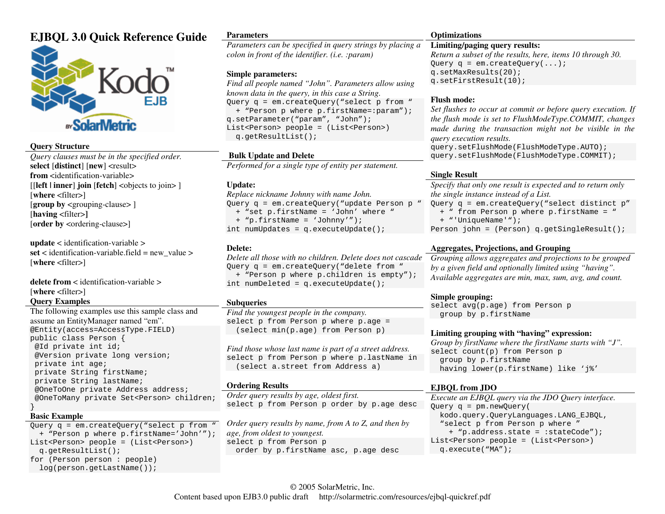# **EJBQL 3.0 Quick Reference Guide**



## **Query Structure**

 *Query clauses must be in the specified order.* **select** [**distinct**] [**new**] <result> **from** <identification-variable> [[**left | inner**] **join** [**fetch**] <objects to join> ] [**where** <filter>] [**group by** <grouping-clause> ] [**having** <filter>**]** [order by <ordering-clause>]

**update** < identification-variable >  $\text{set}$  < identification-variable.field = new value > [**where** <filter>]

**delete from** < identification-variable > [**where** <filter>] **Query Examples** 

 The following examples use this sample class and assume an EntityManager named "em". @Entity(access=AccessType.FIELD) public class Person { @Id private int id; @Version private long version; private int age; private String firstName; private String lastName; @OneToOne private Address address; @OneToMany private Set<Person> children; }

#### **Basic Example**

 Query q = em.createQuery("select p from " <sup>+</sup>"Person p where p.firstName='John'"); List<Person> people = (List<Person>) q.getResultList(); for (Person person : people) log(person.getLastName());

#### **Parameters**

 *Parameters can be specified in query strings by placing a colon in front of the identifier. (i.e. :param)* 

### **Simple parameters:**

 *Find all people named "John". Parameters allow using known data in the query, in this case a String.*  Query q = em.createQuery("select p from " <sup>+</sup>"Person p where p.firstName=:param"); q.setParameter("param", "John"); List<Person> people = (List<Person>) q.getResultList();

## **Bulk Update and Delete**

*Performed for a single type of entity per statement.* 

### **Update:**

 *Replace nickname Johnny with name John.*  Query q = em.createQuery("update Person p " <sup>+</sup>"set p.firstName = 'John' where " <sup>+</sup>"p.firstName = 'Johnny'"); int numUpdates = q.executeUpdate();

### **Delete:**

 *Delete all those with no children. Delete does not cascade* Query q = em.createQuery("delete from " <sup>+</sup>"Person p where p.children is empty"); int numDeleted = q.executeUpdate();

## **Subqueries**

 *Find the youngest people in the company.*  select p from Person p where p.age = (select min(p.age) from Person p)

*Find those whose last name is part of a street address.*  select p from Person p where p.lastName in (select a.street from Address a)

#### **Ordering Results**

*Order query results by age, oldest first.* select p from Person p order by p.age desc

*Order query results by name, from A to Z, and then by age, from oldest to youngest.*  select p from Person p order by p.firstName asc, p.age desc

### **Optimizations**

## **Limiting/paging query results:**

 *Return a subset of the results, here, items 10 through 30.* Query  $q = em.createQuery(...);$ q.setMaxResults(20); q.setFirstResult(10);

#### **Flush mode:**

 *Set flushes to occur at commit or before query execution. If the flush mode is set to FlushModeType.COMMIT, changes made during the transaction might not be visible in the query execution results.* query.setFlushMode(FlushModeType.AUTO);

query.setFlushMode(FlushModeType.COMMIT);

## **Single Result**

 *Specify that only one result is expected and to return only the single instance instead of a List.*  Query q = em.createQuery("select distinct p" <sup>+</sup>" from Person p where p.firstName = " <sup>+</sup>"'UniqueName'"); Person john = (Person) q.getSingleResult();

## **Aggregates, Projections, and Grouping**

 *Grouping allows aggregates and projections to be grouped by a given field and optionally limited using "having". Available aggregates are min, max, sum, avg, and count.* 

## **Simple grouping:**

 select avg(p.age) from Person p group by p.firstName

## **Limiting grouping with "having" expression:**

 *Group by firstName where the firstName starts with "J".* select count(p) from Person p group by p.firstName having lower(p.firstName) like 'j%'

## **EJBQL from JDO**

 *Execute an EJBQL query via the JDO Query interface.*Query q = pm.newQuery( kodo.query.QueryLanguages.LANG\_EJBQL, "select p from Person p where " <sup>+</sup>"p.address.state = :stateCode"); List<Person> people = (List<Person>) q.execute("MA");